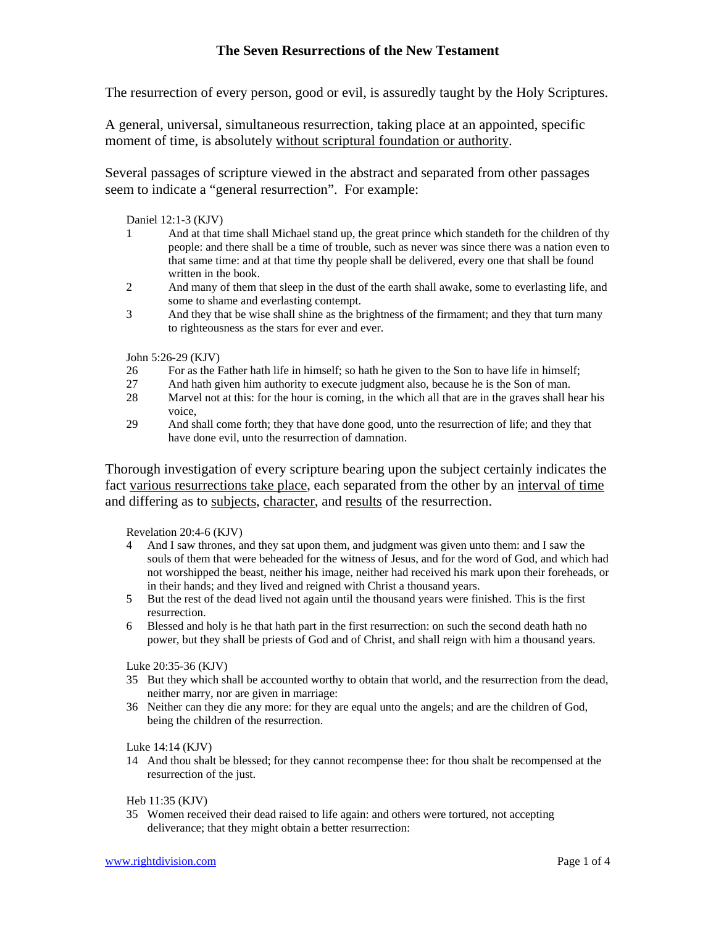# **The Seven Resurrections of the New Testament**

The resurrection of every person, good or evil, is assuredly taught by the Holy Scriptures.

A general, universal, simultaneous resurrection, taking place at an appointed, specific moment of time, is absolutely without scriptural foundation or authority.

Several passages of scripture viewed in the abstract and separated from other passages seem to indicate a "general resurrection". For example:

Daniel 12:1-3 (KJV)

- 1 And at that time shall Michael stand up, the great prince which standeth for the children of thy people: and there shall be a time of trouble, such as never was since there was a nation even to that same time: and at that time thy people shall be delivered, every one that shall be found written in the book.
- 2 And many of them that sleep in the dust of the earth shall awake, some to everlasting life, and some to shame and everlasting contempt.
- 3 And they that be wise shall shine as the brightness of the firmament; and they that turn many to righteousness as the stars for ever and ever.

John 5:26-29 (KJV)

- 26 For as the Father hath life in himself; so hath he given to the Son to have life in himself;
- 27 And hath given him authority to execute judgment also, because he is the Son of man.
- 28 Marvel not at this: for the hour is coming, in the which all that are in the graves shall hear his voice,
- 29 And shall come forth; they that have done good, unto the resurrection of life; and they that have done evil, unto the resurrection of damnation.

Thorough investigation of every scripture bearing upon the subject certainly indicates the fact various resurrections take place, each separated from the other by an interval of time and differing as to subjects, character, and results of the resurrection.

Revelation 20:4-6 (KJV)

- 4 And I saw thrones, and they sat upon them, and judgment was given unto them: and I saw the souls of them that were beheaded for the witness of Jesus, and for the word of God, and which had not worshipped the beast, neither his image, neither had received his mark upon their foreheads, or in their hands; and they lived and reigned with Christ a thousand years.
- 5 But the rest of the dead lived not again until the thousand years were finished. This is the first resurrection.
- 6 Blessed and holy is he that hath part in the first resurrection: on such the second death hath no power, but they shall be priests of God and of Christ, and shall reign with him a thousand years.

Luke 20:35-36 (KJV)

- 35 But they which shall be accounted worthy to obtain that world, and the resurrection from the dead, neither marry, nor are given in marriage:
- 36 Neither can they die any more: for they are equal unto the angels; and are the children of God, being the children of the resurrection.

Luke 14:14 (KJV)

14 And thou shalt be blessed; for they cannot recompense thee: for thou shalt be recompensed at the resurrection of the just.

Heb 11:35 (KJV)

35 Women received their dead raised to life again: and others were tortured, not accepting deliverance; that they might obtain a better resurrection: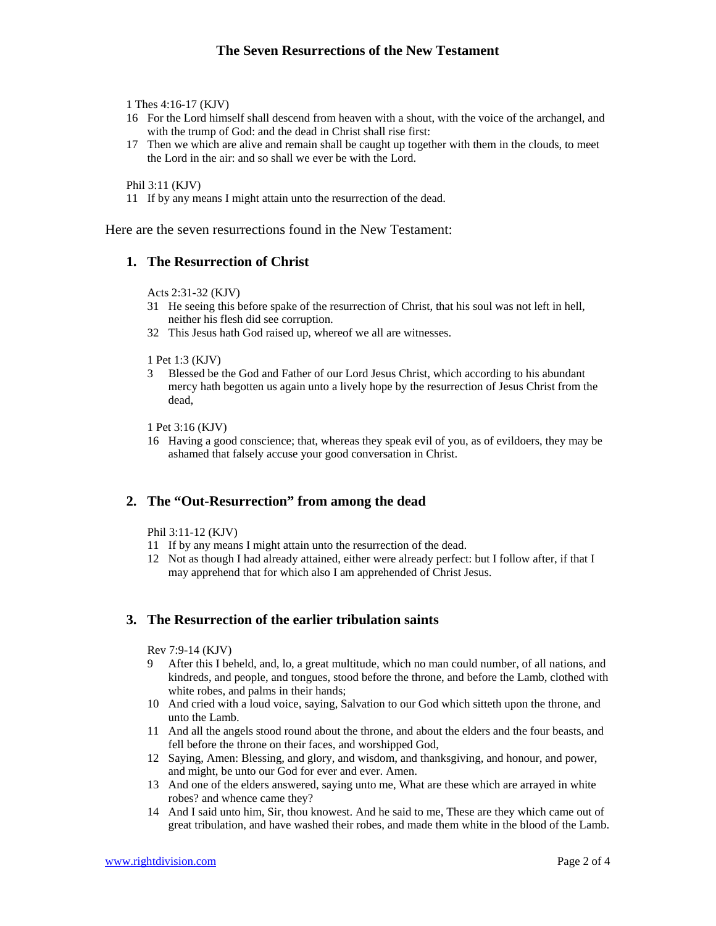1 Thes 4:16-17 (KJV)

- 16 For the Lord himself shall descend from heaven with a shout, with the voice of the archangel, and with the trump of God: and the dead in Christ shall rise first:
- 17 Then we which are alive and remain shall be caught up together with them in the clouds, to meet the Lord in the air: and so shall we ever be with the Lord.

Phil 3:11 (KJV)

11 If by any means I might attain unto the resurrection of the dead.

Here are the seven resurrections found in the New Testament:

### **1. The Resurrection of Christ**

Acts 2:31-32 (KJV)

- 31 He seeing this before spake of the resurrection of Christ, that his soul was not left in hell, neither his flesh did see corruption.
- 32 This Jesus hath God raised up, whereof we all are witnesses.

1 Pet 1:3 (KJV)

3 Blessed be the God and Father of our Lord Jesus Christ, which according to his abundant mercy hath begotten us again unto a lively hope by the resurrection of Jesus Christ from the dead,

1 Pet 3:16 (KJV)

16 Having a good conscience; that, whereas they speak evil of you, as of evildoers, they may be ashamed that falsely accuse your good conversation in Christ.

### **2. The "Out-Resurrection" from among the dead**

Phil 3:11-12 (KJV)

- 11 If by any means I might attain unto the resurrection of the dead.
- 12 Not as though I had already attained, either were already perfect: but I follow after, if that I may apprehend that for which also I am apprehended of Christ Jesus.

### **3. The Resurrection of the earlier tribulation saints**

Rev 7:9-14 (KJV)

- 9 After this I beheld, and, lo, a great multitude, which no man could number, of all nations, and kindreds, and people, and tongues, stood before the throne, and before the Lamb, clothed with white robes, and palms in their hands;
- 10 And cried with a loud voice, saying, Salvation to our God which sitteth upon the throne, and unto the Lamb.
- 11 And all the angels stood round about the throne, and about the elders and the four beasts, and fell before the throne on their faces, and worshipped God,
- 12 Saying, Amen: Blessing, and glory, and wisdom, and thanksgiving, and honour, and power, and might, be unto our God for ever and ever. Amen.
- 13 And one of the elders answered, saying unto me, What are these which are arrayed in white robes? and whence came they?
- 14 And I said unto him, Sir, thou knowest. And he said to me, These are they which came out of great tribulation, and have washed their robes, and made them white in the blood of the Lamb.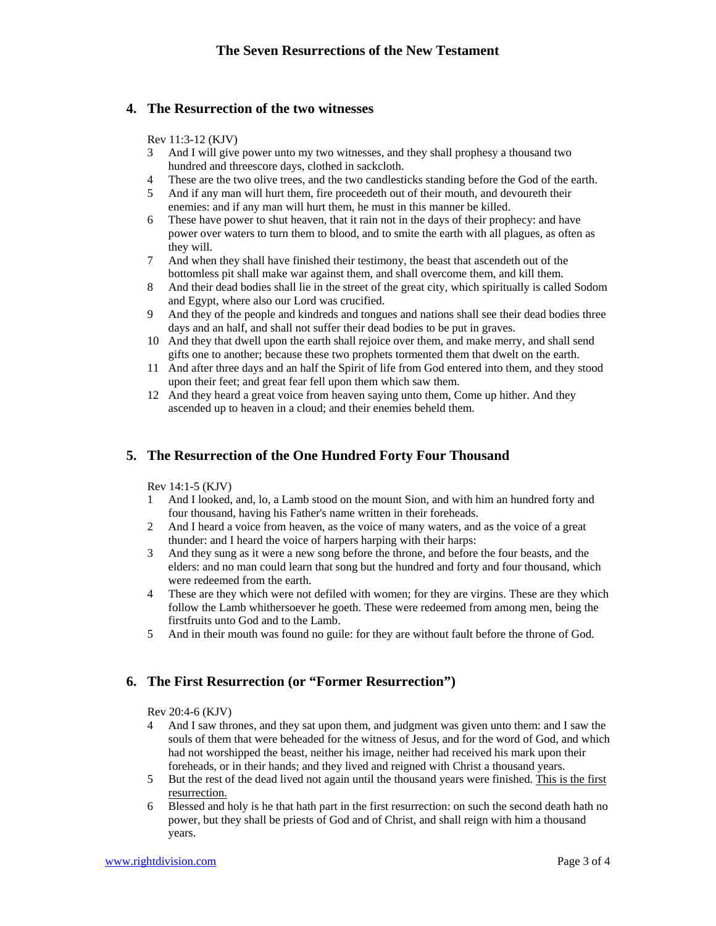### **4. The Resurrection of the two witnesses**

#### Rev 11:3-12 (KJV)

- 3 And I will give power unto my two witnesses, and they shall prophesy a thousand two hundred and threescore days, clothed in sackcloth.
- 4 These are the two olive trees, and the two candlesticks standing before the God of the earth.
- 5 And if any man will hurt them, fire proceedeth out of their mouth, and devoureth their enemies: and if any man will hurt them, he must in this manner be killed.
- 6 These have power to shut heaven, that it rain not in the days of their prophecy: and have power over waters to turn them to blood, and to smite the earth with all plagues, as often as they will.
- 7 And when they shall have finished their testimony, the beast that ascendeth out of the bottomless pit shall make war against them, and shall overcome them, and kill them.
- 8 And their dead bodies shall lie in the street of the great city, which spiritually is called Sodom and Egypt, where also our Lord was crucified.
- 9 And they of the people and kindreds and tongues and nations shall see their dead bodies three days and an half, and shall not suffer their dead bodies to be put in graves.
- 10 And they that dwell upon the earth shall rejoice over them, and make merry, and shall send gifts one to another; because these two prophets tormented them that dwelt on the earth.
- 11 And after three days and an half the Spirit of life from God entered into them, and they stood upon their feet; and great fear fell upon them which saw them.
- 12 And they heard a great voice from heaven saying unto them, Come up hither. And they ascended up to heaven in a cloud; and their enemies beheld them.

# **5. The Resurrection of the One Hundred Forty Four Thousand**

#### Rev 14:1-5 (KJV)

- 1 And I looked, and, lo, a Lamb stood on the mount Sion, and with him an hundred forty and four thousand, having his Father's name written in their foreheads.
- 2 And I heard a voice from heaven, as the voice of many waters, and as the voice of a great thunder: and I heard the voice of harpers harping with their harps:
- 3 And they sung as it were a new song before the throne, and before the four beasts, and the elders: and no man could learn that song but the hundred and forty and four thousand, which were redeemed from the earth.
- 4 These are they which were not defiled with women; for they are virgins. These are they which follow the Lamb whithersoever he goeth. These were redeemed from among men, being the firstfruits unto God and to the Lamb.
- 5 And in their mouth was found no guile: for they are without fault before the throne of God.

# **6. The First Resurrection (or "Former Resurrection")**

Rev 20:4-6 (KJV)

- And I saw thrones, and they sat upon them, and judgment was given unto them: and I saw the souls of them that were beheaded for the witness of Jesus, and for the word of God, and which had not worshipped the beast, neither his image, neither had received his mark upon their foreheads, or in their hands; and they lived and reigned with Christ a thousand years.
- 5 But the rest of the dead lived not again until the thousand years were finished. This is the first resurrection.
- 6 Blessed and holy is he that hath part in the first resurrection: on such the second death hath no power, but they shall be priests of God and of Christ, and shall reign with him a thousand years.